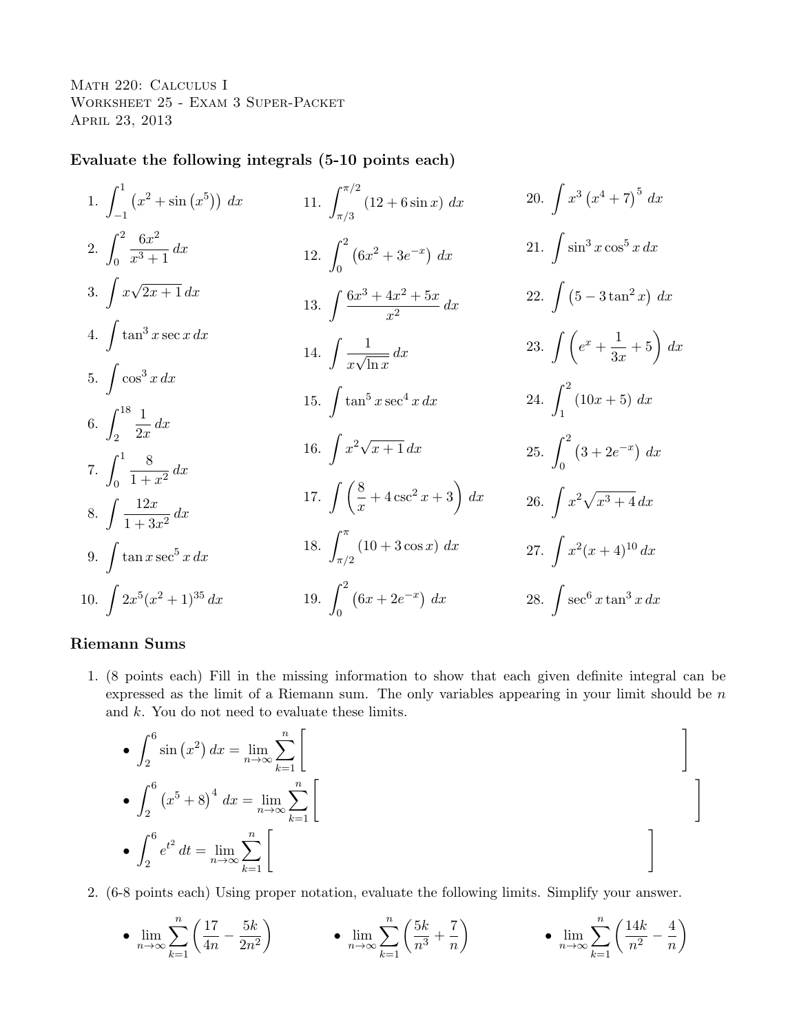Math 220: Calculus I Worksheet 25 - Exam 3 Super-Packet April 23, 2013

Evaluate the following integrals (5-10 points each)

1. 
$$
\int_{-1}^{1} (x^2 + \sin(x^5)) dx
$$
  
\n2.  $\int_{0}^{2} \frac{6x^2}{x^3 + 1} dx$   
\n3.  $\int x\sqrt{2x + 1} dx$   
\n4.  $\int \tan^3 x \sec x dx$   
\n5.  $\int \cos^3 x dx$   
\n6.  $\int_{2}^{1} \frac{8}{2x} dx$   
\n7.  $\int_{0}^{1} \frac{8}{1 + x^2} dx$   
\n8.  $\int \frac{12x}{1 + 3x^2} dx$   
\n9.  $\int \tan x \sec^5 x dx$   
\n10.  $\int 2x^5 (x^2 + 1)^{35} dx$   
\n11.  $\int \frac{\pi}{2} (6x^2 + 3e^{-x}) dx$   
\n12.  $\int_{0}^{2} (6x^2 + 3e^{-x}) dx$   
\n13.  $\int \frac{6x^3 + 4x^2 + 5x}{x^2} dx$   
\n14.  $\int \frac{1}{x\sqrt{\ln x}} dx$   
\n15.  $\int \tan^5 x \sec^4 x dx$   
\n16.  $\int x^2 \sqrt{x + 1} dx$   
\n17.  $\int \left(\frac{8}{x} + 4 \csc^2 x + 3\right) dx$   
\n18.  $\int_{\pi/2}^{\pi} (10 + 3 \cos x) dx$   
\n19.  $\int \tan x \sec^5 x dx$   
\n10.  $\int 2x^5 (x^2 + 1)^{35} dx$   
\n11.  $\int \frac{2}{x} (6x + 2e^{-x}) dx$   
\n12.  $\int_{0}^{2} (6x + 2e^{-x}) dx$   
\n13.  $\int \frac{6x^3 + 4x^2 + 5x}{x^2} dx$   
\n14.  $\int \frac{1}{x\sqrt{\ln x}} dx$   
\n15.  $\int \tan^5 x \sec^4 x dx$   
\n16.  $\int x^2 \sqrt{x + 1} dx$   
\n17.  $\int \left(\frac{8}{x} + 4 \csc^2 x + 3\right$ 

# Riemann Sums

1. (8 points each) Fill in the missing information to show that each given definite integral can be expressed as the limit of a Riemann sum. The only variables appearing in your limit should be  $n$ and k. You do not need to evaluate these limits.

$$
\begin{aligned}\n\bullet \int_{2}^{6} \sin(x^{2}) dx &= \lim_{n \to \infty} \sum_{k=1}^{n} \Bigg[ \\
\bullet \int_{2}^{6} (x^{5} + 8)^{4} dx &= \lim_{n \to \infty} \sum_{k=1}^{n} \Bigg[ \\
\bullet \int_{2}^{6} e^{t^{2}} dt &= \lim_{n \to \infty} \sum_{k=1}^{n} \Bigg[ \\
\bullet \int_{2}^{6} e^{t^{2}} dt &= \lim_{n \to \infty} \sum_{k=1}^{n} \Bigg[ \\
\bullet \int_{2}^{6} e^{t^{2}} dt &= \lim_{n \to \infty} \sum_{k=1}^{n} \Bigg[ \\
\bullet \int_{2}^{6} e^{t^{2}} dt &= \lim_{n \to \infty} \sum_{k=1}^{n} \Bigg[ \\
\bullet \int_{2}^{6} e^{t^{2}} dt &= \lim_{n \to \infty} \frac{1}{n} \Bigg[ \\
\bullet \int_{2}^{6} e^{t^{2}} dt &= \lim_{n \to \infty} \frac{1}{n} \Bigg[ \\
\bullet \int_{2}^{6} e^{t^{2}} dt &= \lim_{n \to \infty} \frac{1}{n} \Bigg[ \\
\bullet \int_{2}^{6} e^{t^{2}} dt &= \lim_{n \to \infty} \frac{1}{n} \Bigg[ \\
\bullet \int_{2}^{6} e^{t^{2}} dt &= \lim_{n \to \infty} \frac{1}{n} \Bigg[ \\
\bullet \int_{2}^{6} e^{t^{2}} dt &= \lim_{n \to \infty} \frac{1}{n} \Bigg[ \\
\bullet \int_{2}^{6} e^{t^{2}} dt &= \lim_{n \to \infty} \frac{1}{n} \Bigg[ \\
\bullet \int_{2}^{6} e^{t^{2}} dt &= \lim_{n \to \infty} \frac{1}{n} \Bigg[ \\
\bullet \int_{2}^{6} e^{t^{2}} dt &= \lim_{n \to \infty} \frac{1}{n} \Bigg[ \\
\bullet \int_{2}^{6} e^{t^{2}} dt &= \lim_{n \to \infty} \frac{1}{n} \Bigg[ \\
\bullet \int_{2}^{6} e^{t^{2}} dt &= \lim_{n \to \infty} \frac{1}{n} \Bigg[ \\
\bullet \int_{2}^{6} e^{t^{2}} dt &= \lim_{n \to \infty} \frac{1}{n} \Bigg[ \\
\bullet \int_{2}^{6}
$$

2. (6-8 points each) Using proper notation, evaluate the following limits. Simplify your answer.

• 
$$
\lim_{n \to \infty} \sum_{k=1}^{n} \left( \frac{17}{4n} - \frac{5k}{2n^2} \right)
$$
 • 
$$
\lim_{n \to \infty} \sum_{k=1}^{n} \left( \frac{5k}{n^3} + \frac{7}{n} \right)
$$
 • 
$$
\lim_{n \to \infty} \sum_{k=1}^{n} \left( \frac{14k}{n^2} - \frac{4}{n} \right)
$$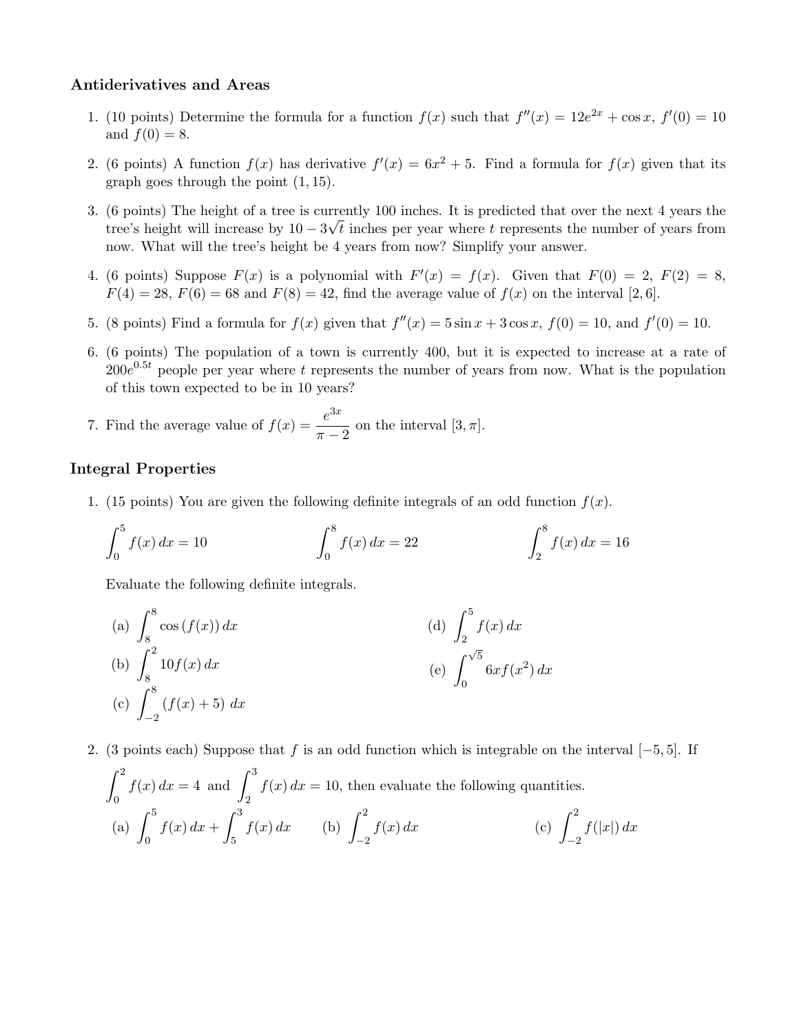#### Antiderivatives and Areas

- 1. (10 points) Determine the formula for a function  $f(x)$  such that  $f''(x) = 12e^{2x} + \cos x$ ,  $f'(0) = 10$ and  $f(0) = 8$ .
- 2. (6 points) A function  $f(x)$  has derivative  $f'(x) = 6x^2 + 5$ . Find a formula for  $f(x)$  given that its graph goes through the point (1, 15).
- 3. (6 points) The height of a tree is currently 100 inches. It is predicted that over the next 4 years the √ tree's height will increase by  $10-3\sqrt{t}$  inches per year where t represents the number of years from now. What will the tree's height be 4 years from now? Simplify your answer.
- 4. (6 points) Suppose  $F(x)$  is a polynomial with  $F'(x) = f(x)$ . Given that  $F(0) = 2$ ,  $F(2) = 8$ ,  $F(4) = 28, F(6) = 68$  and  $F(8) = 42$ , find the average value of  $f(x)$  on the interval [2, 6].
- 5. (8 points) Find a formula for  $f(x)$  given that  $f''(x) = 5 \sin x + 3 \cos x$ ,  $f(0) = 10$ , and  $f'(0) = 10$ .
- 6. (6 points) The population of a town is currently 400, but it is expected to increase at a rate of  $200e^{0.5t}$  people per year where t represents the number of years from now. What is the population of this town expected to be in 10 years?
- 7. Find the average value of  $f(x) = \frac{e^{3x}}{2}$  $\frac{\sigma}{\pi-2}$  on the interval [3,  $\pi$ ].

### Integral Properties

1. (15 points) You are given the following definite integrals of an odd function  $f(x)$ .

$$
\int_0^5 f(x) dx = 10
$$
\n
$$
\int_0^8 f(x) dx = 22
$$
\n
$$
\int_2^8 f(x) dx = 16
$$

Evaluate the following definite integrals.

(a) 
$$
\int_{8}^{8} \cos(f(x)) dx
$$
  
\n(b)  $\int_{8}^{2} 10f(x) dx$   
\n(c)  $\int_{-2}^{8} (f(x) + 5) dx$   
\n(d)  $\int_{2}^{5} f(x) dx$   
\n(e)  $\int_{0}^{\sqrt{5}} 6xf(x^2) dx$ 

2. (3 points each) Suppose that f is an odd function which is integrable on the interval  $[-5, 5]$ . If

$$
\int_{0}^{2} f(x) dx = 4 \text{ and } \int_{2}^{3} f(x) dx = 10, \text{ then evaluate the following quantities.}
$$
  
(a) 
$$
\int_{0}^{5} f(x) dx + \int_{5}^{3} f(x) dx
$$
 (b) 
$$
\int_{-2}^{2} f(x) dx
$$
 (c) 
$$
\int_{-2}^{2} f(|x|) dx
$$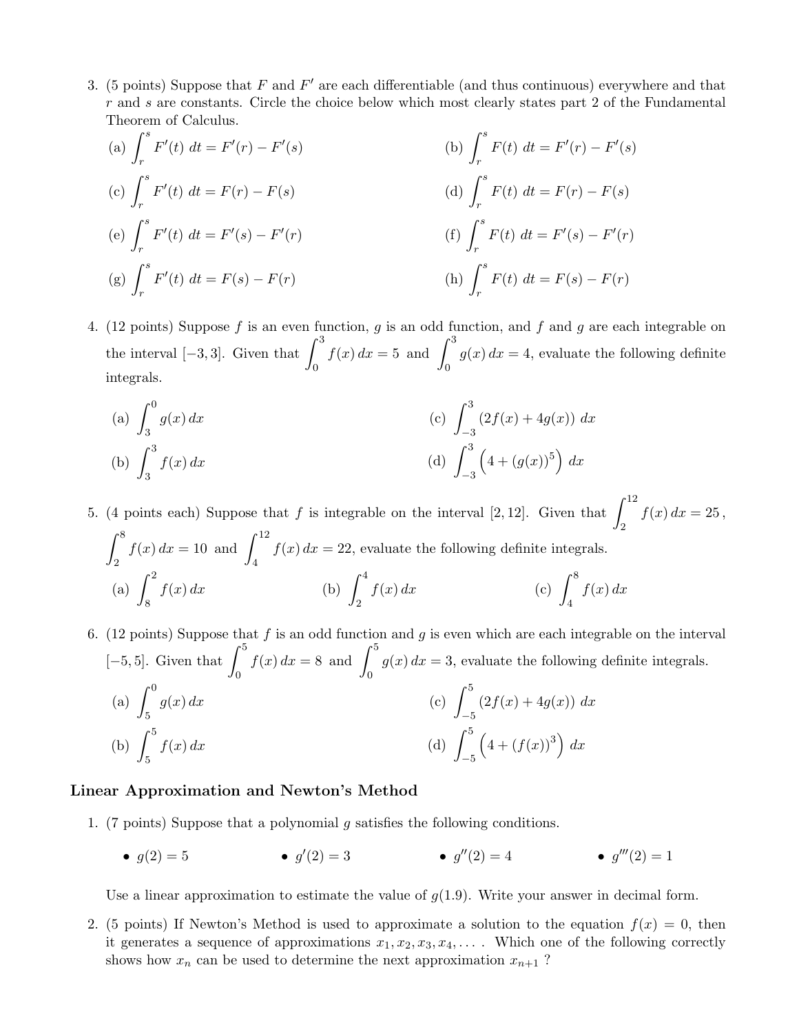3. (5 points) Suppose that  $F$  and  $F'$  are each differentiable (and thus continuous) everywhere and that  $r$  and  $s$  are constants. Circle the choice below which most clearly states part 2 of the Fundamental Theorem of Calculus.

(a) 
$$
\int_{r}^{s} F'(t) dt = F'(r) - F'(s)
$$
  
\n(b)  $\int_{r}^{s} F(t) dt = F'(r) - F'(s)$   
\n(c)  $\int_{r}^{s} F'(t) dt = F(r) - F(s)$   
\n(d)  $\int_{r}^{s} F(t) dt = F(r) - F(s)$   
\n(e)  $\int_{r}^{s} F'(t) dt = F'(s) - F'(r)$   
\n(f)  $\int_{r}^{s} F(t) dt = F'(s) - F'(r)$   
\n(g)  $\int_{r}^{s} F'(t) dt = F(s) - F(r)$   
\n(h)  $\int_{r}^{s} F(t) dt = F(s) - F(r)$ 

4. (12 points) Suppose f is an even function, q is an odd function, and f and q are each integrable on the interval  $[-3, 3]$ . Given that  $\int_0^3$ 0  $f(x) dx = 5$  and  $\int_0^3$ 0  $g(x) dx = 4$ , evaluate the following definite integrals.

(a) 
$$
\int_{3}^{0} g(x) dx
$$
  
\n(b)  $\int_{3}^{3} f(x) dx$   
\n(c)  $\int_{-3}^{3} (2f(x) + 4g(x)) dx$   
\n(d)  $\int_{-3}^{3} (4 + (g(x))^{5}) dx$ 

5. (4 points each) Suppose that f is integrable on the interval [2, 12]. Given that  $\int^{12}$ 2  $f(x) dx = 25,$  $\int_0^8$ 2  $f(x) dx = 10$  and  $\int_0^{12}$ 4  $f(x) dx = 22$ , evaluate the following definite integrals. (a)  $\int_0^2$ 8  $f(x) dx$  (b)  $\int_0^4$ 2  $f(x) dx$  (c)  $\int_0^8$ 4  $f(x) dx$ 

6. (12 points) Suppose that f is an odd function and g is even which are each integrable on the interval  $[-5, 5]$ . Given that  $\int_0^5$ 0  $f(x) dx = 8$  and  $\int_0^5$ 0  $g(x) dx = 3$ , evaluate the following definite integrals. (a)  $\int_0^0 g(x) dx$ (c)  $\int_0^5 (2f(x) + 4g(x)) dx$ 

$$
\int_{-5}^{5} f(x) dx
$$
\n(b)  $\int_{5}^{5} f(x) dx$ \n(d)  $\int_{-5}^{5} \left(4 + (f(x))^3\right) dx$ 

# Linear Approximation and Newton's Method

- 1. (7 points) Suppose that a polynomial q satisfies the following conditions.
	- $q(2) = 5$  $g''(2) = 3$  •  $g''(2) = 4$  •  $g'''(2) = 1$

Use a linear approximation to estimate the value of  $g(1.9)$ . Write your answer in decimal form.

2. (5 points) If Newton's Method is used to approximate a solution to the equation  $f(x) = 0$ , then it generates a sequence of approximations  $x_1, x_2, x_3, x_4, \ldots$ . Which one of the following correctly shows how  $x_n$  can be used to determine the next approximation  $x_{n+1}$ ?